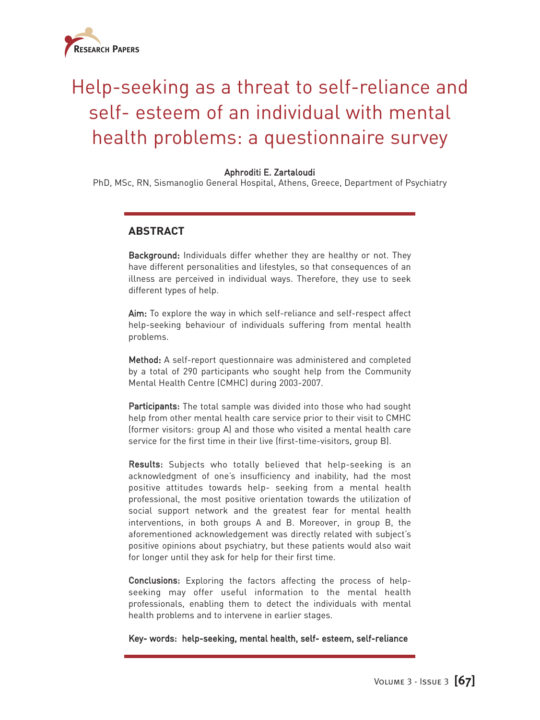

# Help-seeking as a threat to self-reliance and self- esteem of an individual with mental health problems: a questionnaire survey

## Aphroditi E. Zartaloudi

PhD, MSc, RN, Sismanoglio General Hospital, Athens, Greece, Department of Psychiatry

## **ABSTRACT**

Background: Individuals differ whether they are healthy or not. They have different personalities and lifestyles, so that consequences of an illness are perceived in individual ways. Therefore, they use to seek different types of help.

Aim: To explore the way in which self-reliance and self-respect affect help-seeking behaviour of individuals suffering from mental health problems.

Method: A self-report questionnaire was administered and completed by a total of 290 participants who sought help from the Community Mental Health Centre (CMHC) during 2003-2007.

Participants: The total sample was divided into those who had sought help from other mental health care service prior to their visit to CMHC (former visitors: group A) and those who visited a mental health care service for the first time in their live (first-time-visitors, group B).

Results: Subjects who totally believed that help-seeking is an acknowledgment of one's insufficiency and inability, had the most positive attitudes towards help- seeking from a mental health professional, the most positive orientation towards the utilization of social support network and the greatest fear for mental health interventions, in both groups A and B. Moreover, in group B, the aforementioned acknowledgement was directly related with subject's positive opinions about psychiatry, but these patients would also wait for longer until they ask for help for their first time.

Conclusions: Exploring the factors affecting the process of helpseeking may offer useful information to the mental health professionals, enabling them to detect the individuals with mental health problems and to intervene in earlier stages.

Key- words: help-seeking, mental health, self- esteem, self-reliance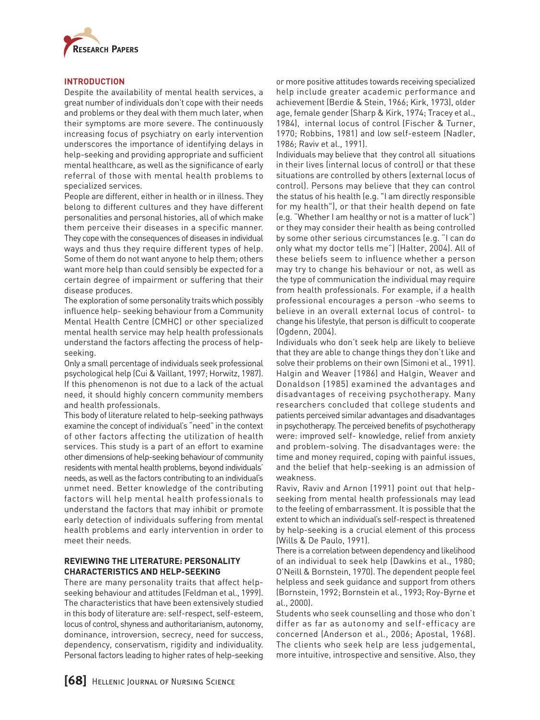

## **INTRODUCTION**

Despite the availability of mental health services, a great number of individuals don't cope with their needs and problems or they deal with them much later, when their symptoms are more severe. The continuously increasing focus of psychiatry on early intervention underscores the importance of identifying delays in help-seeking and providing appropriate and sufficient mental healthcare, as well as the significance of early referral of those with mental health problems to specialized services.

People are different, either in health or in illness. They belong to different cultures and they have different personalities and personal histories, all of which make them perceive their diseases in a specific manner. They cope with the consequences of diseases in individual ways and thus they require different types of help. Some of them do not want anyone to help them; others want more help than could sensibly be expected for a certain degree of impairment or suffering that their disease produces.

The exploration of some personality traits which possibly influence help- seeking behaviour from a Community Mental Health Centre (CMHC) or other specialized mental health service may help health professionals understand the factors affecting the process of helpseeking.

Only a small percentage of individuals seek professional psychological help (Cui & Vaillant, 1997; Horwitz, 1987). If this phenomenon is not due to a lack of the actual need, it should highly concern community members and health professionals.

This body of literature related to help-seeking pathways examine the concept of individual's "need" in the context of other factors affecting the utilization of health services. This study is a part of an effort to examine other dimensions of help-seeking behaviour of community residents with mental health problems, beyond individuals' needs, as well as the factors contributing to an individual's unmet need. Better knowledge of the contributing factors will help mental health professionals to understand the factors that may inhibit or promote early detection of individuals suffering from mental health problems and early intervention in order to meet their needs.

## **REVIEWING THE LITERATURE: PERSONALITY CHARACTERISTICS AND HELP-SEEKING**

There are many personality traits that affect helpseeking behaviour and attitudes (Feldman et al., 1999). The characteristics that have been extensively studied in this body of literature are: self-respect, self-esteem, locus of control, shyness and authoritarianism, autonomy, dominance, introversion, secrecy, need for success, dependency, conservatism, rigidity and individuality. Personal factors leading to higher rates of help-seeking or more positive attitudes towards receiving specialized help include greater academic performance and achievement (Berdie & Stein, 1966; Kirk, 1973), older age, female gender (Sharp & Kirk, 1974; Tracey et al., 1984), internal locus of control (Fischer & Turner, 1970; Robbins, 1981) and low self-esteem (Nadler, 1986; Raviv et al., 1991).

Individuals may believe that they control all situations in their lives (internal locus of control) or that these situations are controlled by others (external locus of control). Persons may believe that they can control the status of his health (e.g. "I am directly responsible for my health"), or that their health depend on fate (e.g. "Whether I am healthy or not is a matter of luck") or they may consider their health as being controlled by some other serious circumstances (e.g. "I can do only what my doctor tells me") (Halter, 2004). All of these beliefs seem to influence whether a person may try to change his behaviour or not, as well as the type of communication the individual may require from health professionals. For example, if a health professional encourages a person -who seems to believe in an overall external locus of control- to change his lifestyle, that person is difficult to cooperate (Ogdenn, 2004).

Individuals who don't seek help are likely to believe that they are able to change things they don't like and solve their problems on their own (Simoni et al., 1991). Halgin and Weaver (1986) and Halgin, Weaver and Donaldson (1985) examined the advantages and disadvantages of receiving psychotherapy. Many researchers concluded that college students and patients perceived similar advantages and disadvantages in psychotherapy. The perceived benefits of psychotherapy were: improved self- knowledge, relief from anxiety and problem-solving. The disadvantages were: the time and money required, coping with painful issues, and the belief that help-seeking is an admission of weakness.

Raviv, Raviv and Arnon (1991) point out that helpseeking from mental health professionals may lead to the feeling of embarrassment. It is possible that the extent to which an individual's self-respect is threatened by help-seeking is a crucial element of this process (Wills & De Paulo, 1991).

There is a correlation between dependency and likelihood of an individual to seek help (Dawkins et al., 1980; O'Neill & Bornstein, 1970). The dependent people feel helpless and seek guidance and support from others (Bornstein, 1992; Bornstein et al., 1993; Roy-Byrne et al., 2000).

Students who seek counselling and those who don't differ as far as autonomy and self-efficacy are concerned (Anderson et al., 2006; Apostal, 1968). The clients who seek help are less judgemental, more intuitive, introspective and sensitive. Also, they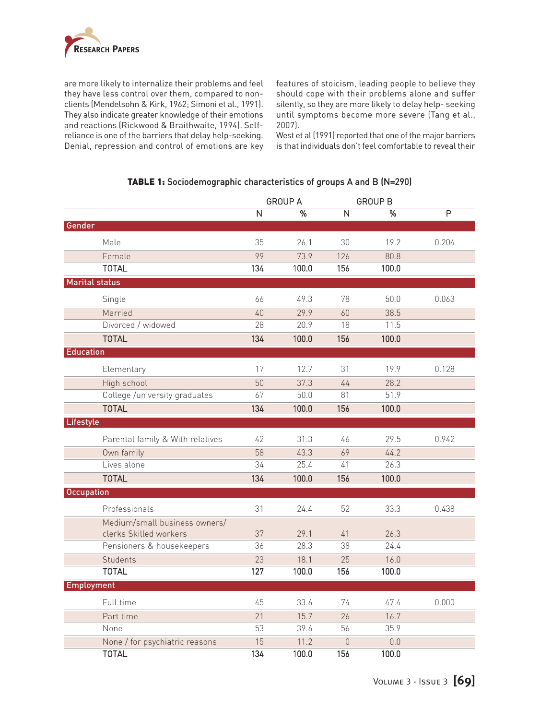

are more likely to internalize their problems and feel they have less control over them, compared to nonclients (Mendelsohn & Kirk, 1962; Simoni et al., 1991). They also indicate greater knowledge of their emotions and reactions (Rickwood & Braithwaite, 1994). Selfreliance is one of the barriers that delay help-seeking. Denial, repression and control of emotions are key features of stoicism, leading people to believe they should cope with their problems alone and suffer silently, so they are more likely to delay help- seeking until symptoms become more severe (Tang et al., 2007).

West et al (1991) reported that one of the major barriers is that individuals don't feel comfortable to reveal their

#### TABLE 1: Sociodemographic characteristics of groups A and B (Ν=290)

|                       |                                  | <b>GROUP A</b> |       |              | <b>GROUP B</b> |       |
|-----------------------|----------------------------------|----------------|-------|--------------|----------------|-------|
|                       |                                  | N              | %     | $\mathsf{N}$ | %              | P     |
| Gender                |                                  |                |       |              |                |       |
|                       | Male                             | 35             | 26.1  | 30           | 19.2           | 0.204 |
|                       | Female                           | 99             | 73.9  | 126          | 80.8           |       |
|                       | <b>TOTAL</b>                     | 134            | 100.0 | 156          | 100.0          |       |
| <b>Marital status</b> |                                  |                |       |              |                |       |
|                       | Single                           | 66             | 49.3  | 78           | 50.0           | 0.063 |
|                       | Married                          | 40             | 29.9  | 60           | 38.5           |       |
|                       | Divorced / widowed               | 28             | 20.9  | 18           | 11.5           |       |
|                       | <b>TOTAL</b>                     | 134            | 100.0 | 156          | 100.0          |       |
| <b>Education</b>      |                                  |                |       |              |                |       |
|                       | Elementary                       | 17             | 12.7  | 31           | 19.9           | 0.128 |
|                       | High school                      | 50             | 37.3  | $44$         | 28.2           |       |
|                       | College /university graduates    | 67             | 50.0  | 81           | 51.9           |       |
|                       | <b>TOTAL</b>                     | 134            | 100.0 | 156          | 100.0          |       |
| Lifestyle             |                                  |                |       |              |                |       |
|                       | Parental family & With relatives | 42             | 31.3  | 46           | 29.5           | 0.942 |
|                       | Own family                       | 58             | 43.3  | 69           | 44.2           |       |
|                       | Lives alone                      | 34             | 25.4  | 41           | 26.3           |       |
|                       | <b>TOTAL</b>                     | 134            | 100.0 | 156          | 100.0          |       |
| <b>Occupation</b>     |                                  |                |       |              |                |       |
|                       | Professionals                    | 31             | 24.4  | 52           | 33.3           | 0.438 |
|                       | Medium/small business owners/    |                |       |              |                |       |
|                       | clerks Skilled workers           | 37             | 29.1  | $41$         | 26.3           |       |
|                       | Pensioners & housekeepers        | 36             | 28.3  | 38           | 24.4           |       |
|                       | Students                         | 23             | 18.1  | 25           | 16.0           |       |
|                       | <b>TOTAL</b>                     | 127            | 100.0 | 156          | 100.0          |       |
| <b>Employment</b>     |                                  |                |       |              |                |       |
|                       | Full time                        | 45             | 33.6  | 74           | 47.4           | 0.000 |
|                       | Part time                        | 21             | 15.7  | 26           | 16.7           |       |
|                       | None                             | 53             | 39.6  | 56           | 35.9           |       |
|                       | None / for psychiatric reasons   | 15             | 11.2  | $\theta$     | 0.0            |       |
|                       | <b>TOTAL</b>                     | 134            | 100.0 | 156          | 100.0          |       |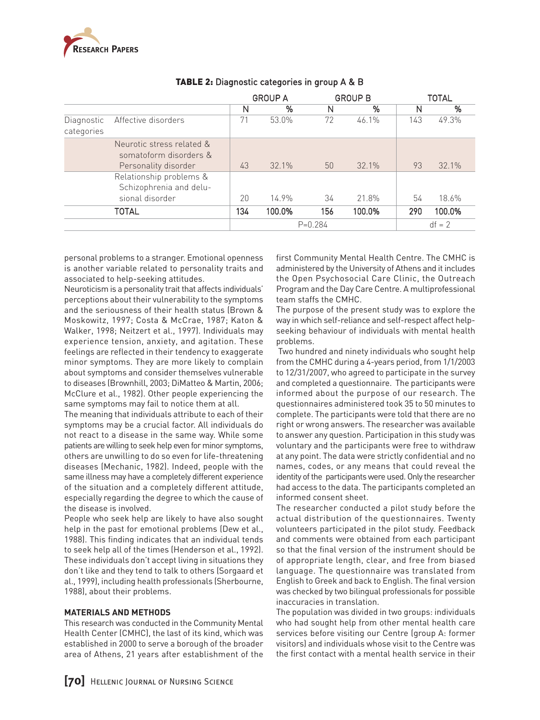

|                          |                                                    | <b>GROUP A</b> |             |     | <b>GROUP B</b> |     | TOTAL  |  |
|--------------------------|----------------------------------------------------|----------------|-------------|-----|----------------|-----|--------|--|
|                          |                                                    | N              | %           | N   | %              | N   | %      |  |
| Diagnostic<br>categories | Affective disorders                                | 71             | 53.0%       | 72  | 46.1%          | 143 | 49.3%  |  |
|                          | Neurotic stress related &                          |                |             |     |                |     |        |  |
|                          | somatoform disorders &                             |                |             |     |                |     |        |  |
|                          | Personality disorder                               | 43             | $32.1\%$    | 50  | 32.1%          | 93  | 32.1%  |  |
|                          | Relationship problems &<br>Schizophrenia and delu- |                |             |     |                |     |        |  |
|                          | sional disorder                                    | 20             | 14.9%       | 34  | 21.8%          | 54  | 18.6%  |  |
|                          | <b>TOTAL</b>                                       | 134            | 100.0%      | 156 | 100.0%         | 290 | 100.0% |  |
|                          |                                                    |                | $P = 0.284$ |     | $df = 2$       |     |        |  |

# TABLE 2: Diagnostic categories in group A & B

personal problems to a stranger. Emotional openness is another variable related to personality traits and associated to help-seeking attitudes.

Neuroticism is a personality trait that affects individuals' perceptions about their vulnerability to the symptoms and the seriousness of their health status (Brown & Moskowitz, 1997; Costa & McCrae, 1987; Katon & Walker, 1998; Neitzert et al., 1997). Individuals may experience tension, anxiety, and agitation. These feelings are reflected in their tendency to exaggerate minor symptoms. They are more likely to complain about symptoms and consider themselves vulnerable to diseases (Brownhill, 2003; DiMatteo & Martin, 2006; McClure et al., 1982). Other people experiencing the same symptoms may fail to notice them at all.

The meaning that individuals attribute to each of their symptoms may be a crucial factor. All individuals do not react to a disease in the same way. While some patients are willing to seek help even for minor symptoms, others are unwilling to do so even for life-threatening diseases (Mechanic, 1982). Indeed, people with the same illness may have a completely different experience of the situation and a completely different attitude, especially regarding the degree to which the cause of the disease is involved.

People who seek help are likely to have also sought help in the past for emotional problems (Dew et al., 1988). This finding indicates that an individual tends to seek help all of the times (Henderson et al., 1992). These individuals don't accept living in situations they don't like and they tend to talk to others (Sorgaard et al., 1999), including health professionals (Sherbourne, 1988), about their problems.

## **MATERIALS AND METHODS**

This research was conducted in the Community Mental Health Center (CMHC), the last of its kind, which was established in 2000 to serve a borough of the broader area of Athens, 21 years after establishment of the first Community Mental Health Centre. The CMHC is administered by the University of Athens and it includes the Open Psychosocial Care Clinic, the Outreach Program and the Day Care Centre. A multiprofessional team staffs the CMHC.

The purpose of the present study was to explore the way in which self-reliance and self-respect affect helpseeking behaviour of individuals with mental health problems.

Two hundred and ninety individuals who sought help from the CMHC during a 4-years period, from 1/1/2003 to 12/31/2007, who agreed to participate in the survey and completed a questionnaire. The participants were informed about the purpose of our research. The questionnaires administered took 35 to 50 minutes to complete. The participants were told that there are no right or wrong answers. The researcher was available to answer any question. Participation in this study was voluntary and the participants were free to withdraw at any point. The data were strictly confidential and no names, codes, or any means that could reveal the identity of the participants were used. Only the researcher had access to the data. The participants completed an informed consent sheet.

The researcher conducted a pilot study before the actual distribution of the questionnaires. Twenty volunteers participated in the pilot study. Feedback and comments were obtained from each participant so that the final version of the instrument should be of appropriate length, clear, and free from biased language. The questionnaire was translated from English to Greek and back to English. The final version was checked by two bilingual professionals for possible inaccuracies in translation.

The population was divided in two groups: individuals who had sought help from other mental health care services before visiting our Centre (group A: former visitors) and individuals whose visit to the Centre was the first contact with a mental health service in their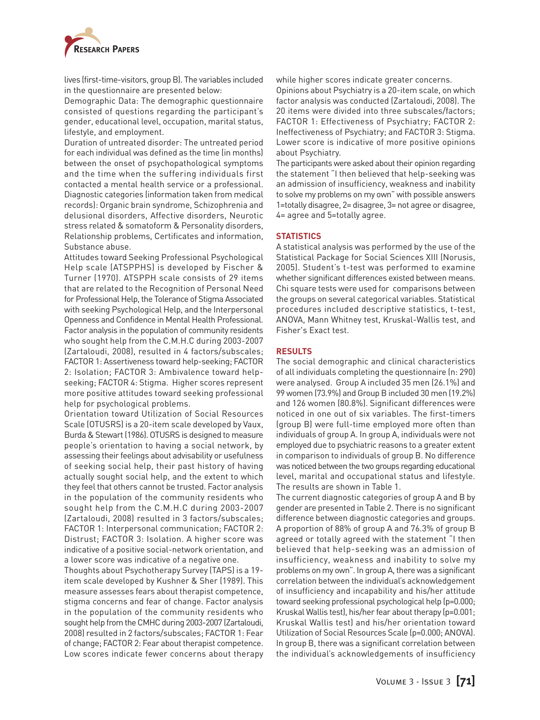

lives (first-time-visitors, group B). The variables included in the questionnaire are presented below:

Demographic Data: The demographic questionnaire consisted of questions regarding the participant's gender, educational level, occupation, marital status, lifestyle, and employment.

Duration of untreated disorder: The untreated period for each individual was defined as the time (in months) between the onset of psychopathological symptoms and the time when the suffering individuals first contacted a mental health service or a professional. Diagnostic categories (information taken from medical records): Organic brain syndrome, Schizophrenia and delusional disorders, Affective disorders, Neurotic stress related & somatoform & Personality disorders, Relationship problems, Certificates and information, Substance abuse.

Attitudes toward Seeking Professional Psychological Help scale (ATSPPHS) is developed by Fischer & Turner (1970). ATSPPH scale consists of 29 items that are related to the Recognition of Personal Need for Professional Help, the Tolerance of Stigma Associated with seeking Psychological Help, and the Interpersonal Openness and Confidence in Mental Health Professional. Factor analysis in the population of community residents who sought help from the C.M.H.C during 2003-2007 (Zartaloudi, 2008), resulted in 4 factors/subscales; FACTOR 1: Assertiveness toward help-seeking; FACTOR 2: Isolation; FACTOR 3: Ambivalence toward helpseeking; FACTOR 4: Stigma. Higher scores represent more positive attitudes toward seeking professional help for psychological problems.

Orientation toward Utilization of Social Resources Scale (OTUSRS) is a 20-item scale developed by Vaux, Burda & Stewart (1986). OTUSRS is designed to measure people's orientation to having a social network, by assessing their feelings about advisability or usefulness of seeking social help, their past history of having actually sought social help, and the extent to which they feel that others cannot be trusted. Factor analysis in the population of the community residents who sought help from the C.M.H.C during 2003-2007 (Zartaloudi, 2008) resulted in 3 factors/subscales; FACTOR 1: Interpersonal communication; FACTOR 2: Distrust; FACTOR 3: Isolation. A higher score was indicative of a positive social-network orientation, and a lower score was indicative of a negative one.

Thoughts about Psychotherapy Survey (TAPS) is a 19 item scale developed by Kushner & Sher (1989). This measure assesses fears about therapist competence, stigma concerns and fear of change. Factor analysis in the population of the community residents who sought help from the CMHC during 2003-2007 (Zartaloudi, 2008) resulted in 2 factors/subscales; FACTOR 1: Fear of change; FACTOR 2: Fear about therapist competence. Low scores indicate fewer concerns about therapy while higher scores indicate greater concerns.

Opinions about Psychiatry is a 20-item scale, on which factor analysis was conducted (Zartaloudi, 2008). The 20 items were divided into three subscales/factors; FACTOR 1: Effectiveness of Psychiatry; FACTOR 2: Ineffectiveness of Psychiatry; and FACTOR 3: Stigma. Lower score is indicative of more positive opinions about Psychiatry.

The participants were asked about their opinion regarding the statement "I then believed that help-seeking was an admission of insufficiency, weakness and inability to solve my problems on my own" with possible answers 1=totally disagree, 2= disagree, 3= not agree or disagree, 4= agree and 5=totally agree.

#### **STATISTICS**

A statistical analysis was performed by the use of the Statistical Package for Social Sciences XIII (Norusis, 2005). Student's t-test was performed to examine whether significant differences existed between means. Chi square tests were used for comparisons between the groups on several categorical variables. Statistical procedures included descriptive statistics, t-test, ANOVA, Mann Whitney test, Kruskal-Wallis test, and Fisher's Exact test.

#### **RESULTS**

The social demographic and clinical characteristics of all individuals completing the questionnaire (n: 290) were analysed. Group A included 35 men (26.1%) and 99 women (73.9%) and Group B included 30 men (19.2%) and 126 women (80.8%). Significant differences were noticed in one out of six variables. The first-timers (group B) were full-time employed more often than individuals of group A. In group A, individuals were not employed due to psychiatric reasons to a greater extent in comparison to individuals of group B. No difference was noticed between the two groups regarding educational level, marital and occupational status and lifestyle. The results are shown in Table 1.

The current diagnostic categories of group A and B by gender are presented in Table 2. There is no significant difference between diagnostic categories and groups. A proportion of 88% of group A and 76.3% of group B agreed or totally agreed with the statement "I then believed that help-seeking was an admission of insufficiency, weakness and inability to solve my problems on my own". In group A, there was a significant correlation between the individual's acknowledgement of insufficiency and incapability and his/her attitude toward seeking professional psychological help (p=0.000; Kruskal Wallis test), his/her fear about therapy (p=0.001; Kruskal Wallis test) and his/her orientation toward Utilization of Social Resources Scale (p=0.000; ANOVA). In group B, there was a significant correlation between the individual's acknowledgements of insufficiency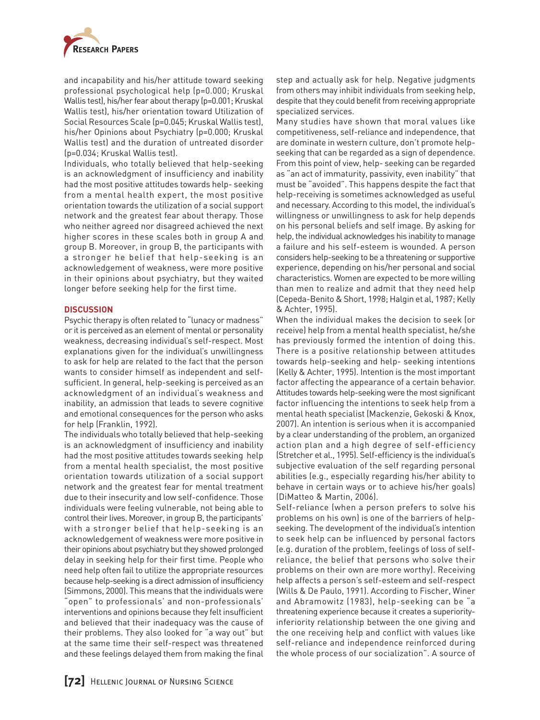

and incapability and his/her attitude toward seeking professional psychological help (p=0.000; Kruskal Wallis test), his/her fear about therapy (p=0.001; Kruskal Wallis test), his/her orientation toward Utilization of Social Resources Scale (p=0.045; Kruskal Wallis test), his/her Opinions about Psychiatry (p=0.000; Kruskal Wallis test) and the duration of untreated disorder (p=0.034; Kruskal Wallis test).

Individuals, who totally believed that help-seeking is an acknowledgment of insufficiency and inability had the most positive attitudes towards help- seeking from a mental health expert, the most positive orientation towards the utilization of a social support network and the greatest fear about therapy. Those who neither agreed nor disagreed achieved the next higher scores in these scales both in group A and group B. Moreover, in group B, the participants with a stronger he belief that help-seeking is an acknowledgement of weakness, were more positive in their opinions about psychiatry, but they waited longer before seeking help for the first time.

#### **DISCUSSION**

Psychic therapy is often related to "lunacy or madness" or it is perceived as an element of mental or personality weakness, decreasing individual's self-respect. Most explanations given for the individual's unwillingness to ask for help are related to the fact that the person wants to consider himself as independent and selfsufficient. In general, help-seeking is perceived as an acknowledgment of an individual's weakness and inability, an admission that leads to severe cognitive and emotional consequences for the person who asks for help (Franklin, 1992).

The individuals who totally believed that help-seeking is an acknowledgment of insufficiency and inability had the most positive attitudes towards seeking help from a mental health specialist, the most positive orientation towards utilization of a social support network and the greatest fear for mental treatment due to their insecurity and low self-confidence. Those individuals were feeling vulnerable, not being able to control their lives. Moreover, in group B, the participants' with a stronger belief that help-seeking is an acknowledgement of weakness were more positive in their opinions about psychiatry but they showed prolonged delay in seeking help for their first time. People who need help often fail to utilize the appropriate resources because help-seeking is a direct admission of insufficiency (Simmons, 2000). This means that the individuals were "open" to professionals' and non-professionals' interventions and opinions because they felt insufficient and believed that their inadequacy was the cause of their problems. They also looked for "a way out" but at the same time their self-respect was threatened and these feelings delayed them from making the final

step and actually ask for help. Negative judgments from others may inhibit individuals from seeking help, despite that they could benefit from receiving appropriate specialized services.

Many studies have shown that moral values like competitiveness, self-reliance and independence, that are dominate in western culture, don't promote helpseeking that can be regarded as a sign of dependence. From this point of view, help- seeking can be regarded as "an act of immaturity, passivity, even inability" that must be "avoided". This happens despite the fact that help-receiving is sometimes acknowledged as useful and necessary. According to this model, the individual's willingness or unwillingness to ask for help depends on his personal beliefs and self image. By asking for help, the individual acknowledges his inability to manage a failure and his self-esteem is wounded. A person considers help-seeking to be a threatening or supportive experience, depending on his/her personal and social characteristics. Women are expected to be more willing than men to realize and admit that they need help (Cepeda-Benito & Short, 1998; Halgin et al, 1987; Kelly & Achter, 1995).

When the individual makes the decision to seek (or receive) help from a mental health specialist, he/she has previously formed the intention of doing this. There is a positive relationship between attitudes towards help-seeking and help- seeking intentions (Kelly & Achter, 1995). Intention is the most important factor affecting the appearance of a certain behavior. Attitudes towards help-seeking were the most significant factor influencing the intentions to seek help from a mental heath specialist (Mackenzie, Gekoski & Knox, 2007). An intention is serious when it is accompanied by a clear understanding of the problem, an organized action plan and a high degree of self-efficiency (Stretcher et al., 1995). Self-efficiency is the individual's subjective evaluation of the self regarding personal abilities (e.g., especially regarding his/her ability to behave in certain ways or to achieve his/her goals) (DiMatteo & Martin, 2006).

Self-reliance (when a person prefers to solve his problems on his own) is one of the barriers of helpseeking. The development of the individual's intention to seek help can be influenced by personal factors (e.g. duration of the problem, feelings of loss of selfreliance, the belief that persons who solve their problems on their own are more worthy). Receiving help affects a person's self-esteem and self-respect (Wills & De Paulo, 1991). According to Fischer, Winer and Abramowitz (1983), help-seeking can be "a threatening experience because it creates a superiorityinferiority relationship between the one giving and the one receiving help and conflict with values like self-reliance and independence reinforced during the whole process of our socialization". A source of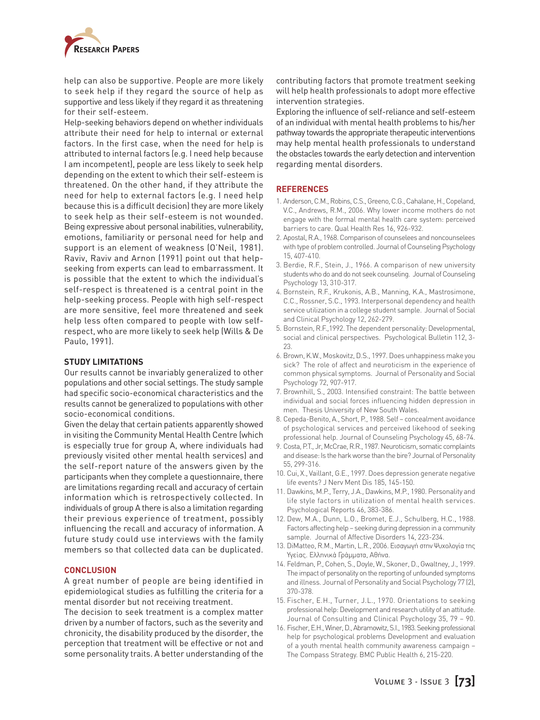

help can also be supportive. People are more likely to seek help if they regard the source of help as supportive and less likely if they regard it as threatening for their self-esteem.

Help-seeking behaviors depend on whether individuals attribute their need for help to internal or external factors. In the first case, when the need for help is attributed to internal factors (e.g. I need help because I am incompetent), people are less likely to seek help depending on the extent to which their self-esteem is threatened. On the other hand, if they attribute the need for help to external factors (e.g. I need help because this is a difficult decision) they are more likely to seek help as their self-esteem is not wounded. Being expressive about personal inabilities, vulnerability, emotions, familiarity or personal need for help and support is an element of weakness (O'Neil, 1981). Raviv, Raviv and Arnon (1991) point out that helpseeking from experts can lead to embarrassment. It is possible that the extent to which the individual's self-respect is threatened is a central point in the help-seeking process. People with high self-respect are more sensitive, feel more threatened and seek help less often compared to people with low selfrespect, who are more likely to seek help (Wills & De Paulo, 1991).

#### **STUDY LIMITATIONS**

Our results cannot be invariably generalized to other populations and other social settings. The study sample had specific socio-economical characteristics and the results cannot be generalized to populations with other socio-economical conditions.

Given the delay that certain patients apparently showed in visiting the Community Mental Health Centre (which is especially true for group A, where individuals had previously visited other mental health services) and the self-report nature of the answers given by the participants when they complete a questionnaire, there are limitations regarding recall and accuracy of certain information which is retrospectively collected. In individuals of group A there is also a limitation regarding their previous experience of treatment, possibly influencing the recall and accuracy of information. A future study could use interviews with the family members so that collected data can be duplicated.

#### **CONCLUSION**

A great number of people are being identified in epidemiological studies as fulfilling the criteria for a mental disorder but not receiving treatment.

The decision to seek treatment is a complex matter driven by a number of factors, such as the severity and chronicity, the disability produced by the disorder, the perception that treatment will be effective or not and some personality traits. A better understanding of the

contributing factors that promote treatment seeking will help health professionals to adopt more effective intervention strategies.

Exploring the influence of self-reliance and self-esteem of an individual with mental health problems to his/her pathway towards the appropriate therapeutic interventions may help mental health professionals to understand the obstacles towards the early detection and intervention regarding mental disorders.

#### **REFERENCES**

- 1. Anderson, C.M., Robins, C.S., Greeno, C.G., Cahalane, H., Copeland, V.C., Andrews, R.M., 2006. Why lower income mothers do not engage with the formal mental health care system: perceived barriers to care. Qual Health Res 16, 926-932.
- 2. Apostal, R.A., 1968. Comparison of counselees and noncounselees with type of problem controlled. Journal of Counseling Psychology 15, 407-410.
- 3. Berdie, R.F., Stein, J., 1966. A comparison of new university students who do and do not seek counseling. Journal of Counseling Psychology 13, 310-317.
- 4. Bornstein, R.F., Krukonis, A.B., Manning, K.A., Mastrosimone, C.C., Rossner, S.C., 1993. Interpersonal dependency and health service utilization in a college student sample. Journal of Social and Clinical Psychology 12, 262-279.
- 5. Bornstein, R.F.,1992. The dependent personality: Developmental, social and clinical perspectives. Psychological Bulletin 112, 3- 23.
- 6. Brown, K.W., Moskovitz, D.S., 1997. Does unhappiness make you sick? The role of affect and neuroticism in the experience of common physical symptoms. Journal of Personality and Social Psychology 72, 907-917.
- 7. Brownhill, S., 2003. Intensified constraint: The battle between individual and social forces influencing hidden depression in men. Thesis University of New South Wales.
- 8. Cepeda-Benito, A., Short, P., 1988. Self concealment avoidance of psychological services and perceived likehood of seeking professional help. Journal of Counseling Psychology 45, 68-74.
- 9. Costa, P.T., Jr, McCrae, R.R., 1987. Neuroticism, somatic complaints and disease: Is the hark worse than the bire? Journal of Personality 55, 299-316.
- 10. Cui, X., Vaillant, G.E., 1997. Does depression generate negative life events? J Nerv Ment Dis 185, 145-150.
- 11. Dawkins, M.P., Terry, J.A., Dawkins, M.P., 1980. Personality and life style factors in utilization of mental health services. Psychological Reports 46, 383-386.
- 12. Dew, M.A., Dunn, L.O., Bromet, E.J., Schulberg, H.C., 1988. Factors affecting help – seeking during depression in a community sample. Journal of Affective Disorders 14, 223-234.
- 13. DiMatteo, R.M., Martin, L.R., 2006. Εισαγωγή στην Ψυχολογία της Υγείας. Ελληνικά Γράµµατα, Αθήνα.
- 14. Feldman, P., Cohen, S., Doyle, W., Skoner, D., Gwaltney, J., 1999. The impact of personality on the reporting of unfounded symptoms and illness. Journal of Personality and Social Psychology 77 (2), 370-378.
- 15. Fischer, E.H., Turner, J.L., 1970. Orientations to seeking professional help: Development and research utility of an attitude. Journal of Consulting and Clinical Psychology 35, 79 – 90.
- 16. Fischer, E.H., Winer, D., Abramowitz, S.I., 1983. Seeking professional help for psychological problems Development and evaluation of a youth mental health community awareness campaign – The Compass Strategy. BMC Public Health 6, 215-220.